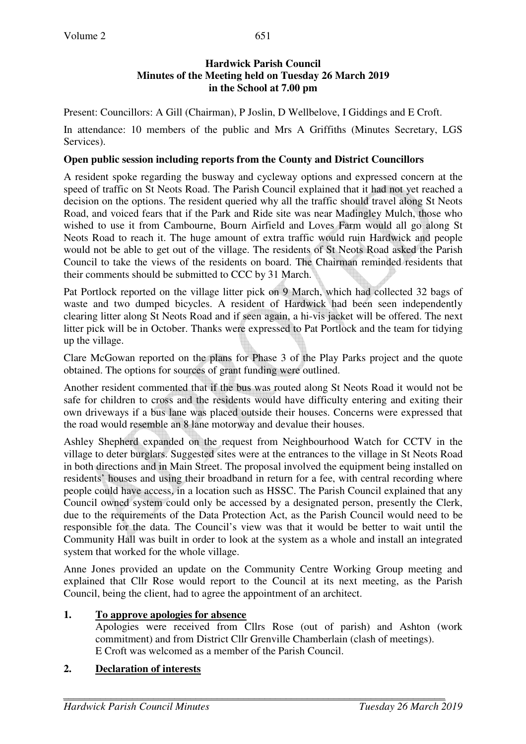Present: Councillors: A Gill (Chairman), P Joslin, D Wellbelove, I Giddings and E Croft.

In attendance: 10 members of the public and Mrs A Griffiths (Minutes Secretary, LGS Services).

## **Open public session including reports from the County and District Councillors**

A resident spoke regarding the busway and cycleway options and expressed concern at the speed of traffic on St Neots Road. The Parish Council explained that it had not yet reached a decision on the options. The resident queried why all the traffic should travel along St Neots Road, and voiced fears that if the Park and Ride site was near Madingley Mulch, those who wished to use it from Cambourne, Bourn Airfield and Loves Farm would all go along St Neots Road to reach it. The huge amount of extra traffic would ruin Hardwick and people would not be able to get out of the village. The residents of St Neots Road asked the Parish Council to take the views of the residents on board. The Chairman reminded residents that their comments should be submitted to CCC by 31 March.

Pat Portlock reported on the village litter pick on 9 March, which had collected 32 bags of waste and two dumped bicycles. A resident of Hardwick had been seen independently clearing litter along St Neots Road and if seen again, a hi-vis jacket will be offered. The next litter pick will be in October. Thanks were expressed to Pat Portlock and the team for tidying up the village.

Clare McGowan reported on the plans for Phase 3 of the Play Parks project and the quote obtained. The options for sources of grant funding were outlined.

Another resident commented that if the bus was routed along St Neots Road it would not be safe for children to cross and the residents would have difficulty entering and exiting their own driveways if a bus lane was placed outside their houses. Concerns were expressed that the road would resemble an 8 lane motorway and devalue their houses.

Ashley Shepherd expanded on the request from Neighbourhood Watch for CCTV in the village to deter burglars. Suggested sites were at the entrances to the village in St Neots Road in both directions and in Main Street. The proposal involved the equipment being installed on residents' houses and using their broadband in return for a fee, with central recording where people could have access, in a location such as HSSC. The Parish Council explained that any Council owned system could only be accessed by a designated person, presently the Clerk, due to the requirements of the Data Protection Act, as the Parish Council would need to be responsible for the data. The Council's view was that it would be better to wait until the Community Hall was built in order to look at the system as a whole and install an integrated system that worked for the whole village.

Anne Jones provided an update on the Community Centre Working Group meeting and explained that Cllr Rose would report to the Council at its next meeting, as the Parish Council, being the client, had to agree the appointment of an architect.

# **1. To approve apologies for absence**

Apologies were received from Cllrs Rose (out of parish) and Ashton (work commitment) and from District Cllr Grenville Chamberlain (clash of meetings). E Croft was welcomed as a member of the Parish Council.

# **2. Declaration of interests**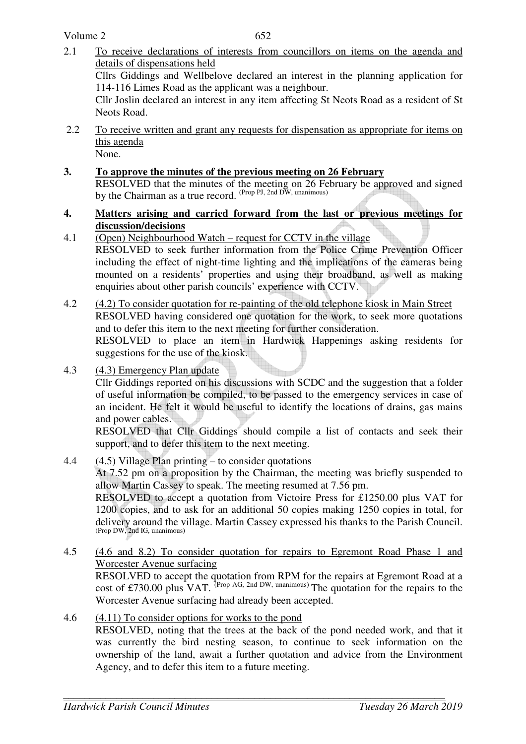- 2.1 To receive declarations of interests from councillors on items on the agenda and details of dispensations held Cllrs Giddings and Wellbelove declared an interest in the planning application for 114-116 Limes Road as the applicant was a neighbour. Cllr Joslin declared an interest in any item affecting St Neots Road as a resident of St Neots Road.
- 2.2 To receive written and grant any requests for dispensation as appropriate for items on this agenda None.
- **3. To approve the minutes of the previous meeting on 26 February**  RESOLVED that the minutes of the meeting on 26 February be approved and signed by the Chairman as a true record. (Prop PJ, 2nd DW, unanimous)
- **4. Matters arising and carried forward from the last or previous meetings for discussion/decisions**
- 4.1 (Open) Neighbourhood Watch request for CCTV in the village RESOLVED to seek further information from the Police Crime Prevention Officer including the effect of night-time lighting and the implications of the cameras being mounted on a residents' properties and using their broadband, as well as making enquiries about other parish councils' experience with CCTV.
- 4.2 (4.2) To consider quotation for re-painting of the old telephone kiosk in Main Street RESOLVED having considered one quotation for the work, to seek more quotations and to defer this item to the next meeting for further consideration. RESOLVED to place an item in Hardwick Happenings asking residents for suggestions for the use of the kiosk.
- 4.3 (4.3) Emergency Plan update

Cllr Giddings reported on his discussions with SCDC and the suggestion that a folder of useful information be compiled, to be passed to the emergency services in case of an incident. He felt it would be useful to identify the locations of drains, gas mains and power cables.

RESOLVED that Cllr Giddings should compile a list of contacts and seek their support, and to defer this item to the next meeting.

- 4.4 (4.5) Village Plan printing to consider quotations At 7.52 pm on a proposition by the Chairman, the meeting was briefly suspended to allow Martin Cassey to speak. The meeting resumed at 7.56 pm. RESOLVED to accept a quotation from Victoire Press for £1250.00 plus VAT for 1200 copies, and to ask for an additional 50 copies making 1250 copies in total, for delivery around the village. Martin Cassey expressed his thanks to the Parish Council.<br>(Prop DW, 2nd IG, unanimous)
- 4.5 (4.6 and 8.2) To consider quotation for repairs to Egremont Road Phase 1 and Worcester Avenue surfacing RESOLVED to accept the quotation from RPM for the repairs at Egremont Road at a cost of £730.00 plus VAT. <sup>(Prop AG, 2nd DW, unanimous)</sup> The quotation for the repairs to the Worcester Avenue surfacing had already been accepted.
- 4.6 (4.11) To consider options for works to the pond RESOLVED, noting that the trees at the back of the pond needed work, and that it was currently the bird nesting season, to continue to seek information on the ownership of the land, await a further quotation and advice from the Environment Agency, and to defer this item to a future meeting.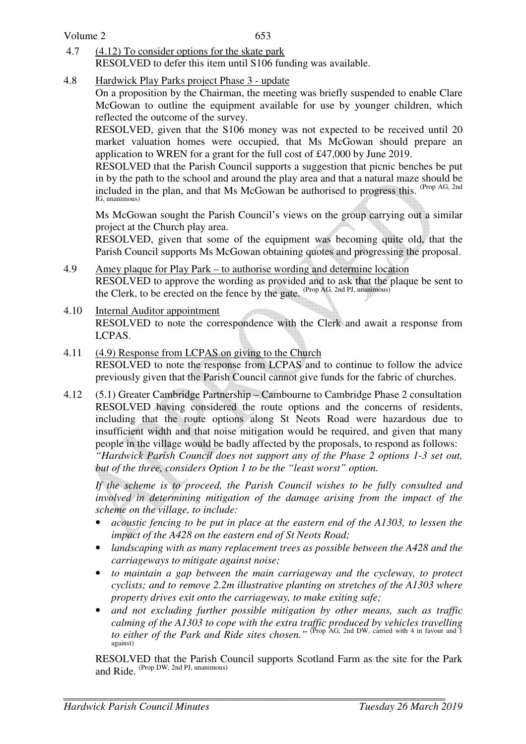### Volume 2

- 4.7 (4.12) To consider options for the skate park RESOLVED to defer this item until S106 funding was available.
- 4.8 Hardwick Play Parks project Phase 3 update

On a proposition by the Chairman, the meeting was briefly suspended to enable Clare McGowan to outline the equipment available for use by younger children, which reflected the outcome of the survey.

RESOLVED, given that the S106 money was not expected to be received until 20 market valuation homes were occupied, that Ms McGowan should prepare an application to WREN for a grant for the full cost of £47,000 by June 2019.

RESOLVED that the Parish Council supports a suggestion that picnic benches be put in by the path to the school and around the play area and that a natural maze should be included in the plan, and that Ms McGowan be authorised to progress this. (Prop AG, 2nd IG, unanimous)

Ms McGowan sought the Parish Council's views on the group carrying out a similar project at the Church play area.

RESOLVED, given that some of the equipment was becoming quite old, that the Parish Council supports Ms McGowan obtaining quotes and progressing the proposal.

- 4.9 Amey plaque for Play Park to authorise wording and determine location RESOLVED to approve the wording as provided and to ask that the plaque be sent to the Clerk, to be erected on the fence by the gate.  $(Prop AG, 2nd PJ, unanimous)$
- 4.10 Internal Auditor appointment RESOLVED to note the correspondence with the Clerk and await a response from LCPAS.
- 4.11 (4.9) Response from LCPAS on giving to the Church RESOLVED to note the response from LCPAS and to continue to follow the advice previously given that the Parish Council cannot give funds for the fabric of churches.
- 4.12 (5.1) Greater Cambridge Partnership Cambourne to Cambridge Phase 2 consultation RESOLVED having considered the route options and the concerns of residents, including that the route options along St Neots Road were hazardous due to insufficient width and that noise mitigation would be required, and given that many people in the village would be badly affected by the proposals, to respond as follows: *"Hardwick Parish Council does not support any of the Phase 2 options 1-3 set out, but of the three, considers Option 1 to be the "least worst" option.*

*If the scheme is to proceed, the Parish Council wishes to be fully consulted and involved in determining mitigation of the damage arising from the impact of the scheme on the village, to include:* 

- *acoustic fencing to be put in place at the eastern end of the A1303, to lessen the impact of the A428 on the eastern end of St Neots Road;*
- *landscaping with as many replacement trees as possible between the A428 and the carriageways to mitigate against noise;*
- *to maintain a gap between the main carriageway and the cycleway, to protect cyclists; and to remove 2.2m illustrative planting on stretches of the A1303 where property drives exit onto the carriageway, to make exiting safe;*
- *and not excluding further possible mitigation by other means, such as traffic calming of the A1303 to cope with the extra traffic produced by vehicles travelling to either of the Park and Ride sites chosen."* (Prop AG, 2nd DW, carried with 4 in favour and 1 against)

RESOLVED that the Parish Council supports Scotland Farm as the site for the Park and Ride.  $(\text{Prop DW}, 2nd \text{ PI}, \text{unanimous})$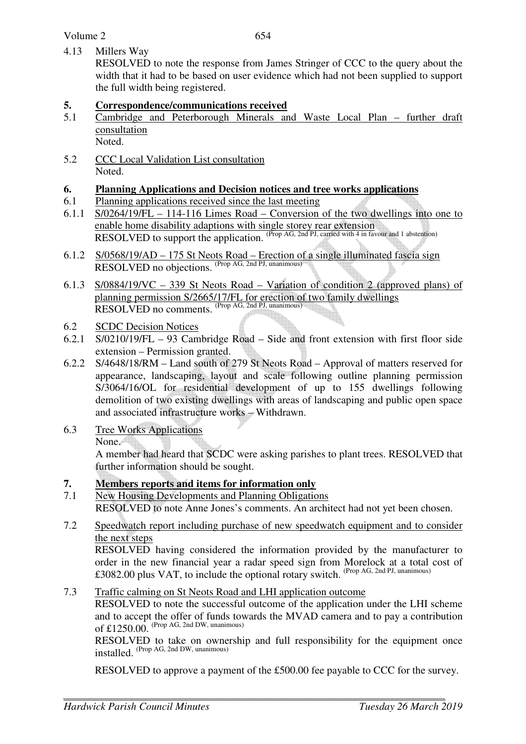4.13 Millers Way

RESOLVED to note the response from James Stringer of CCC to the query about the width that it had to be based on user evidence which had not been supplied to support the full width being registered.

# **5.** Correspondence/communications received<br>5.1 Cambridge and Peterborough Minerals and

- 5.1 Cambridge and Peterborough Minerals and Waste Local Plan further draft consultation Noted.
- 5.2 CCC Local Validation List consultation Noted.

### **6. Planning Applications and Decision notices and tree works applications**

- 6.1 Planning applications received since the last meeting
- 6.1.1 S/0264/19/FL 114-116 Limes Road Conversion of the two dwellings into one to enable home disability adaptions with single storey rear extension RESOLVED to support the application. (Prop AG, 2nd PJ, carried with 4 in favour and 1 abstention)
- 6.1.2 S/0568/19/AD 175 St Neots Road Erection of a single illuminated fascia sign RESOLVED no objections. (Prop AG, 2nd PJ, unanimous)
- 6.1.3 S/0884/19/VC 339 St Neots Road Variation of condition 2 (approved plans) of planning permission S/2665/17/FL for erection of two family dwellings RESOLVED no comments. <sup>(Prop AG, 2nd PJ, unanimous)</sup>
- 6.2 SCDC Decision Notices
- 6.2.1 S/0210/19/FL 93 Cambridge Road Side and front extension with first floor side extension – Permission granted.
- 6.2.2 S/4648/18/RM Land south of 279 St Neots Road Approval of matters reserved for appearance, landscaping, layout and scale following outline planning permission S/3064/16/OL for residential development of up to 155 dwellings following demolition of two existing dwellings with areas of landscaping and public open space and associated infrastructure works – Withdrawn.
- 6.3 Tree Works Applications

None.

A member had heard that SCDC were asking parishes to plant trees. RESOLVED that further information should be sought.

### **7. Members reports and items for information only**

- 7.1 New Housing Developments and Planning Obligations RESOLVED to note Anne Jones's comments. An architect had not yet been chosen.
- 7.2 Speedwatch report including purchase of new speedwatch equipment and to consider the next steps

 RESOLVED having considered the information provided by the manufacturer to order in the new financial year a radar speed sign from Morelock at a total cost of £3082.00 plus VAT, to include the optional rotary switch. (Prop AG, 2nd PJ, unanimous)

7.3 Traffic calming on St Neots Road and LHI application outcome

 RESOLVED to note the successful outcome of the application under the LHI scheme and to accept the offer of funds towards the MVAD camera and to pay a contribution of  $£1250.00$ . (Prop AG, 2nd DW, unanimous)

RESOLVED to take on ownership and full responsibility for the equipment once installed. (Prop AG, 2nd DW, unanimous)

RESOLVED to approve a payment of the £500.00 fee payable to CCC for the survey.